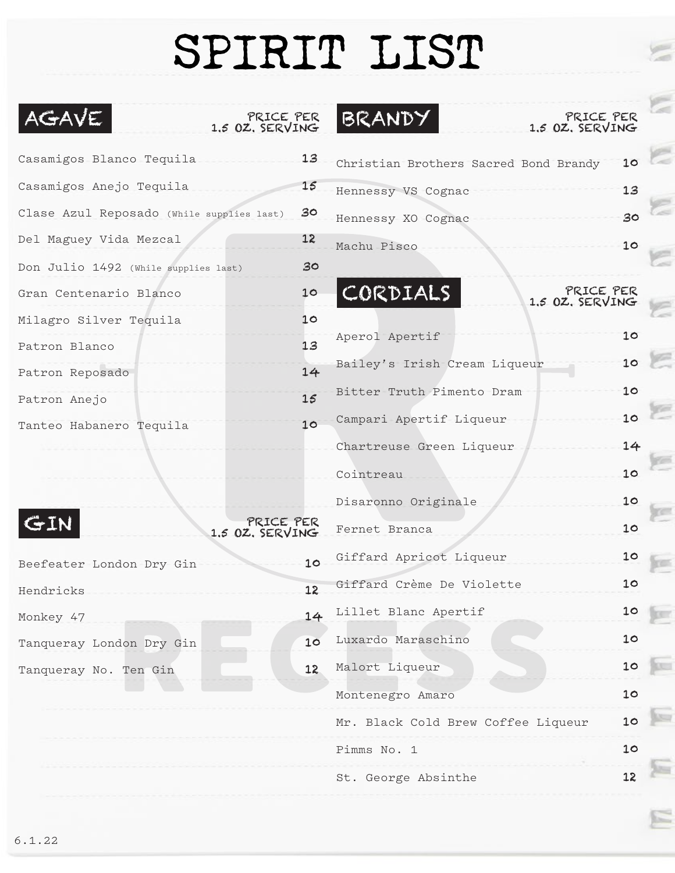## SPIRIT LIST

E

E

| AGAVE<br>PRICE PER<br>1.5 OZ, SERVING     |    | BRANDY<br>PRICE PER<br>1.5 OZ. SERVING   |    |  |
|-------------------------------------------|----|------------------------------------------|----|--|
| Casamigos Blanco Tequila                  | 13 | Christian Brothers Sacred Bond Brandy    | 10 |  |
| Casamigos Anejo Tequila                   | 15 | Hennessy VS Cognac                       | 13 |  |
| Clase Azul Reposado (While supplies last) | 30 | Hennessy XO Cognac                       | 30 |  |
| Del Maguey Vida Mezcal                    | 12 | Machu Pisco                              | 10 |  |
| Don Julio 1492 (While supplies last)      | 30 |                                          |    |  |
| Gran Centenario Blanco                    | 10 | CORDIALS<br>PRICE PER<br>1.5 OZ. SERVING |    |  |
| Milagro Silver Tequila                    | 10 |                                          |    |  |
| Patron Blanco                             | 13 | Aperol Apertif                           | 10 |  |
| Patron Reposado                           | 14 | Bailey's Irish Cream Liqueur             | 10 |  |
| Patron Anejo                              | 15 | Bitter Truth Pimento-Dram                | 10 |  |
| Tanteo Habanero Tequila                   | 10 | Campari Apertif Liqueur                  | 10 |  |
|                                           |    | Chartreuse Green Liqueur                 | 14 |  |
|                                           |    | Cointreau                                | 10 |  |
|                                           |    | Disaronno Originale                      | 10 |  |
| PRICE PER<br>1.5 OZ. SERVING              |    | Fernet Branca                            | 10 |  |
| Beefeater London Dry Gin                  | 10 | Giffard Apricot Liqueur                  | 10 |  |
| Hendricks                                 | 12 | Giffard Crème De Violette                | 10 |  |
| Monkey 47                                 | 14 | Lillet Blanc Apertif                     | 10 |  |
| Tanqueray London Dry Gin                  | 10 | Luxardo Maraschino                       | 10 |  |
| Tanqueray No. Ten Gin                     | 12 | Malort Liqueur                           | 10 |  |
|                                           |    | Montenegro Amaro                         | 10 |  |
|                                           |    | Mr. Black Cold Brew Coffee Liqueur       | 10 |  |
|                                           |    | Pimms No. 1                              | 10 |  |
|                                           |    | St. George Absinthe                      | 12 |  |
|                                           |    |                                          |    |  |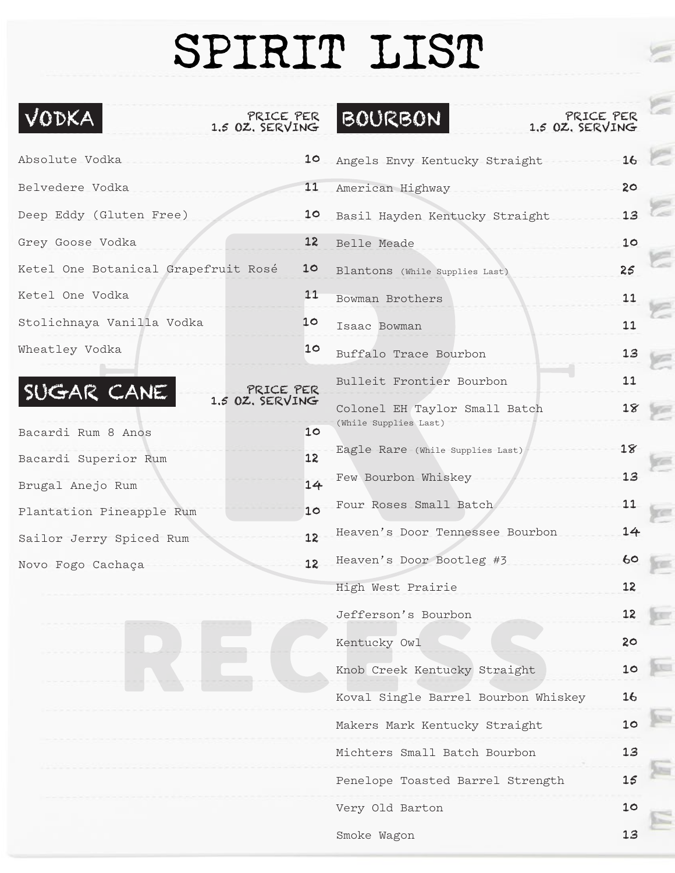## SPIRIT LIST

E

G

S

E

E

E

E

E

gas.

per

**Fox** 

E

E

**Sec** 

G

 $\Xi$ 

| VODKA<br>PRICE PER<br>1.5 OZ. SERVING      |    | <b>BOURBON</b><br>PRICE PER<br>1.5 OZ, SERVING |    |
|--------------------------------------------|----|------------------------------------------------|----|
| Absolute Vodka                             | 10 | Angels Envy Kentucky Straight                  | 16 |
| Belvedere Vodka                            | 11 | American Highway                               | 20 |
| Deep Eddy (Gluten Free)                    | 10 | Basil Hayden Kentucky Straight                 | 13 |
| Grey Goose Vodka                           | 12 | Belle Meade                                    | 10 |
| Ketel One Botanical Grapefruit Rosé        | 10 | Blantons (While Supplies Last)                 | 25 |
| Ketel One Vodka                            | 11 | Bowman Brothers                                | 11 |
| Stolichnaya Vanilla Vodka                  | 10 | Isaac Bowman                                   | 11 |
| Wheatley Vodka                             | 10 | Buffalo Trace Bourbon                          | 13 |
|                                            |    | Bulleit Frontier Bourbon                       | 11 |
| SUGAR CANE<br>PRICE PER<br>1.5 OZ. SERVING |    | Colonel EH Taylor Small Batch                  | 18 |
| Bacardi Rum 8 Anos                         | 10 | (While Supplies Last)                          |    |
| Bacardi Superior Rum                       | 12 | Eagle Rare (While Supplies Last)               | 18 |
| Brugal Anejo Rum                           | 14 | Few Bourbon Whiskey                            | 13 |
| Plantation Pineapple Rum                   | 10 | Four Roses Small Batch                         | 11 |
| Sailor Jerry Spiced Rum                    | 12 | Heaven's Door Tennessee Bourbon                | 14 |
| Novo Fogo Cachaça                          | 12 | Heaven's Door Bootleg #3                       | 60 |
|                                            |    | High West Prairie                              | 12 |
|                                            |    | Jefferson's Bourbon                            | 12 |
|                                            |    | Kentucky Owl                                   | 20 |
|                                            |    | Knob Creek Kentucky Straight                   | 10 |
|                                            |    | Koval Single Barrel Bourbon Whiskey            | 16 |
|                                            |    | Makers Mark Kentucky Straight                  | 10 |
|                                            |    | Michters Small Batch Bourbon                   | 13 |
|                                            |    | Penelope Toasted Barrel Strength               | 15 |
|                                            |    | Very Old Barton                                | 10 |
|                                            |    | Smoke Wagon                                    | 13 |
|                                            |    |                                                |    |